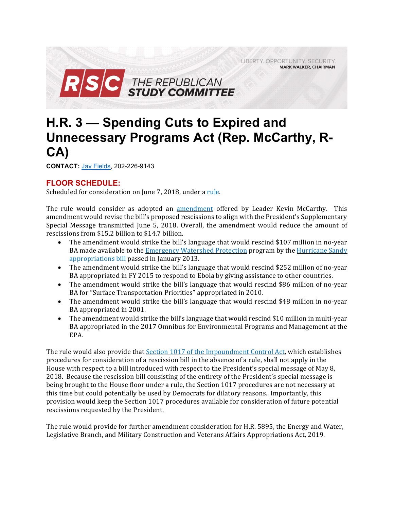LIBERTY, OPPORTUNITY, SECURITY **MARK WALKER, CHAIRMAN** 



# **H.R. 3 — Spending Cuts to Expired and Unnecessary Programs Act (Rep. McCarthy, R-CA)**

**CONTACT:** Jay Fields, 202-226-9143

# **FLOOR SCHEDULE:**

Scheduled for consideration on June 7, 2018, under a rule.

The rule would consider as adopted an amendment offered by Leader Kevin McCarthy. This amendment would revise the bill's proposed rescissions to align with the President's Supplementary Special Message transmitted June 5, 2018. Overall, the amendment would reduce the amount of rescissions from \$15.2 billion to \$14.7 billion.

- The amendment would strike the bill's language that would rescind \$107 million in no-year BA made available to the *Emergency Watershed Protection* program by the *Hurricane Sandy* appropriations bill passed in January 2013.
- The amendment would strike the bill's language that would rescind \$252 million of no-year BA appropriated in FY 2015 to respond to Ebola by giving assistance to other countries.
- The amendment would strike the bill's language that would rescind \$86 million of no-year BA for "Surface Transportation Priorities" appropriated in 2010.
- The amendment would strike the bill's language that would rescind \$48 million in no-year BA appropriated in 2001.
- The amendment would strike the bill's language that would rescind \$10 million in multi-year BA appropriated in the 2017 Omnibus for Environmental Programs and Management at the EPA.

The rule would also provide that Section 1017 of the Impoundment Control Act, which establishes procedures for consideration of a rescission bill in the absence of a rule, shall not apply in the House with respect to a bill introduced with respect to the President's special message of May 8, 2018. Because the rescission bill consisting of the entirety of the President's special message is being brought to the House floor under a rule, the Section 1017 procedures are not necessary at this time but could potentially be used by Democrats for dilatory reasons. Importantly, this provision would keep the Section 1017 procedures available for consideration of future potential rescissions requested by the President. 

The rule would provide for further amendment consideration for H.R. 5895, the Energy and Water, Legislative Branch, and Military Construction and Veterans Affairs Appropriations Act, 2019.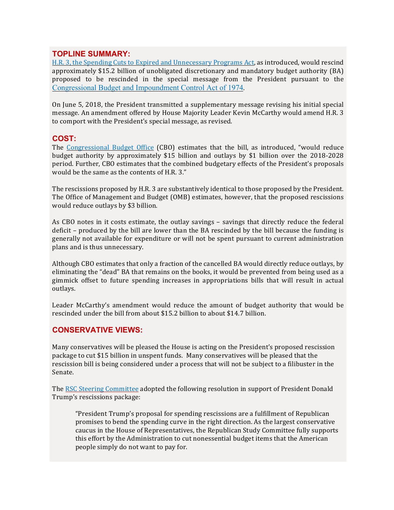# **TOPLINE SUMMARY:**

H.R. 3, the Spending Cuts to Expired and Unnecessary Programs Act, as introduced, would rescind approximately \$15.2 billion of unobligated discretionary and mandatory budget authority (BA) proposed to be rescinded in the special message from the President pursuant to the Congressional Budget and Impoundment Control Act of 1974.

On June 5, 2018, the President transmitted a supplementary message revising his initial special message. An amendment offered by House Majority Leader Kevin McCarthy would amend H.R. 3 to comport with the President's special message, as revised.

# **COST:**

The Congressional Budget Office (CBO) estimates that the bill, as introduced, "would reduce budget authority by approximately \$15 billion and outlays by \$1 billion over the 2018-2028 period. Further, CBO estimates that the combined budgetary effects of the President's proposals would be the same as the contents of H.R. 3."

The rescissions proposed by H.R. 3 are substantively identical to those proposed by the President. The Office of Management and Budget (OMB) estimates, however, that the proposed rescissions would reduce outlays by \$3 billion.

As CBO notes in it costs estimate, the outlay savings – savings that directly reduce the federal deficit – produced by the bill are lower than the BA rescinded by the bill because the funding is generally not available for expenditure or will not be spent pursuant to current administration plans and is thus unnecessary.

Although CBO estimates that only a fraction of the cancelled BA would directly reduce outlays, by eliminating the "dead" BA that remains on the books, it would be prevented from being used as a gimmick offset to future spending increases in appropriations bills that will result in actual outlays.

Leader McCarthy's amendment would reduce the amount of budget authority that would be rescinded under the bill from about \$15.2 billion to about \$14.7 billion.

# **CONSERVATIVE VIEWS:**

Many conservatives will be pleased the House is acting on the President's proposed rescission package to cut \$15 billion in unspent funds. Many conservatives will be pleased that the rescission bill is being considered under a process that will not be subject to a filibuster in the Senate. 

The RSC Steering Committee adopted the following resolution in support of President Donald Trump's rescissions package:

"President Trump's proposal for spending rescissions are a fulfillment of Republican promises to bend the spending curve in the right direction. As the largest conservative caucus in the House of Representatives, the Republican Study Committee fully supports this effort by the Administration to cut nonessential budget items that the American people simply do not want to pay for.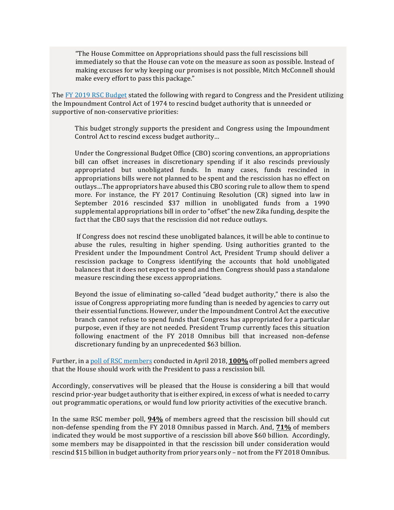"The House Committee on Appropriations should pass the full rescissions bill immediately so that the House can vote on the measure as soon as possible. Instead of making excuses for why keeping our promises is not possible, Mitch McConnell should make every effort to pass this package."

The FY 2019 RSC Budget stated the following with regard to Congress and the President utilizing the Impoundment Control Act of 1974 to rescind budget authority that is unneeded or supportive of non-conservative priorities:

This budget strongly supports the president and Congress using the Impoundment Control Act to rescind excess budget authority…

Under the Congressional Budget Office (CBO) scoring conventions, an appropriations bill can offset increases in discretionary spending if it also rescinds previously appropriated but unobligated funds. In many cases, funds rescinded in appropriations bills were not planned to be spent and the rescission has no effect on outlays…The appropriators have abused this CBO scoring rule to allow them to spend more. For instance, the FY 2017 Continuing Resolution (CR) signed into law in September 2016 rescinded \$37 million in unobligated funds from a 1990 supplemental appropriations bill in order to "offset" the new Zika funding, despite the fact that the CBO says that the rescission did not reduce outlays.

If Congress does not rescind these unobligated balances, it will be able to continue to abuse the rules, resulting in higher spending. Using authorities granted to the President under the Impoundment Control Act, President Trump should deliver a rescission package to Congress identifying the accounts that hold unobligated balances that it does not expect to spend and then Congress should pass a standalone measure rescinding these excess appropriations.

Beyond the issue of eliminating so-called "dead budget authority," there is also the issue of Congress appropriating more funding than is needed by agencies to carry out their essential functions. However, under the Impoundment Control Act the executive branch cannot refuse to spend funds that Congress has appropriated for a particular purpose, even if they are not needed. President Trump currently faces this situation following enactment of the FY 2018 Omnibus bill that increased non-defense discretionary funding by an unprecedented \$63 billion.

Further, in a poll of RSC members conducted in April 2018, **100%** off polled members agreed that the House should work with the President to pass a rescission bill.

Accordingly, conservatives will be pleased that the House is considering a bill that would rescind prior-year budget authority that is either expired, in excess of what is needed to carry out programmatic operations, or would fund low priority activities of the executive branch.

In the same RSC member poll, **94%** of members agreed that the rescission bill should cut non-defense spending from the FY 2018 Omnibus passed in March. And, **71%** of members indicated they would be most supportive of a rescission bill above \$60 billion. Accordingly, some members may be disappointed in that the rescission bill under consideration would rescind \$15 billion in budget authority from prior years only – not from the FY 2018 Omnibus.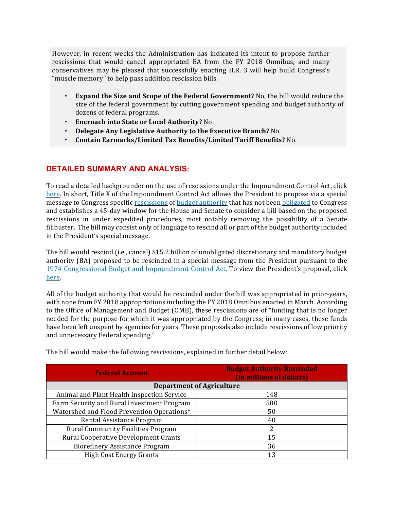However, in recent weeks the Administration has indicated its intent to propose further rescissions that would cancel appropriated BA from the FY 2018 Omnibus, and many conservatives may be pleased that successfully enacting H.R. 3 will help build Congress's "muscle memory" to help pass addition rescission bills.

- **Expand the Size and Scope of the Federal Government?** No, the bill would reduce the size of the federal government by cutting government spending and budget authority of dozens of federal programs.
- **Encroach into State or Local Authority?** No.
- **Delegate Any Legislative Authority to the Executive Branch?** No.
- **Contain Earmarks/Limited Tax Benefits/Limited Tariff Benefits?** No.

# **DETAILED SUMMARY AND ANALYSIS:**

To read a detailed backgrounder on the use of rescissions under the Impoundment Control Act, click here. In short, Title X of the Impoundment Control Act allows the President to propose via a special message to Congress specific rescissions of budget authority that has not been obligated to Congress and establishes a 45-day window for the House and Senate to consider a bill based on the proposed rescissions in under expedited procedures, most notably removing the possibility of a Senate filibuster. The bill may consist only of language to rescind all or part of the budget authority included in the President's special message.

The bill would rescind (i.e., cancel) \$15.2 billion of unobligated discretionary and mandatory budget authority (BA) proposed to be rescinded in a special message from the President pursuant to the 1974 Congressional Budget and Impoundment Control Act. To view the President's proposal, click here.

All of the budget authority that would be rescinded under the bill was appropriated in prior-years, with none from FY 2018 appropriations including the FY 2018 Omnibus enacted in March. According to the Office of Management and Budget (OMB), these rescissions are of "funding that is no longer needed for the purpose for which it was appropriated by the Congress; in many cases, these funds have been left unspent by agencies for years. These proposals also include rescissions of low priority and unnecessary Federal spending."

| <b>Federal Account</b>                      | <b>Budget Authority Rescinded</b><br>(in millions of dollars) |  |
|---------------------------------------------|---------------------------------------------------------------|--|
| <b>Department of Agriculture</b>            |                                                               |  |
| Animal and Plant Health Inspection Service  | 148                                                           |  |
| Farm Security and Rural Investment Program  | 500                                                           |  |
| Watershed and Flood Prevention Operations*  | 50                                                            |  |
| Rental Assistance Program                   | 40                                                            |  |
| <b>Rural Community Facilities Program</b>   | 2                                                             |  |
| <b>Rural Cooperative Development Grants</b> | 15                                                            |  |
| <b>Biorefinery Assistance Program</b>       | 36                                                            |  |
| <b>High Cost Energy Grants</b>              | 13                                                            |  |

The bill would make the following rescissions, explained in further detail below: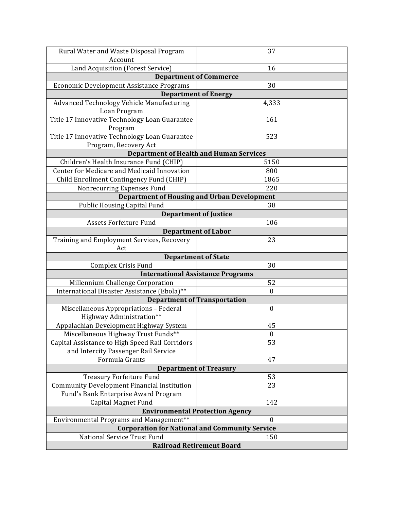| Rural Water and Waste Disposal Program                                                           | 37               |  |
|--------------------------------------------------------------------------------------------------|------------------|--|
| Account                                                                                          |                  |  |
| Land Acquisition (Forest Service)                                                                | 16               |  |
| <b>Department of Commerce</b>                                                                    |                  |  |
| Economic Development Assistance Programs                                                         | 30               |  |
| <b>Department of Energy</b>                                                                      |                  |  |
| Advanced Technology Vehicle Manufacturing                                                        | 4,333            |  |
| Loan Program                                                                                     |                  |  |
| Title 17 Innovative Technology Loan Guarantee                                                    | 161              |  |
| Program                                                                                          |                  |  |
| Title 17 Innovative Technology Loan Guarantee                                                    | 523              |  |
| Program, Recovery Act<br><b>Department of Health and Human Services</b>                          |                  |  |
| Children's Health Insurance Fund (CHIP)                                                          | 5150             |  |
| <b>Center for Medicare and Medicaid Innovation</b>                                               | 800              |  |
| Child Enrollment Contingency Fund (CHIP)                                                         | 1865             |  |
| Nonrecurring Expenses Fund                                                                       | 220              |  |
| <b>Department of Housing and Urban Development</b>                                               |                  |  |
| <b>Public Housing Capital Fund</b>                                                               | 38               |  |
| <b>Department of Justice</b>                                                                     |                  |  |
| Assets Forfeiture Fund                                                                           | 106              |  |
| <b>Department of Labor</b>                                                                       |                  |  |
| Training and Employment Services, Recovery                                                       | 23               |  |
| Act                                                                                              |                  |  |
| <b>Department of State</b>                                                                       |                  |  |
| Complex Crisis Fund                                                                              | 30               |  |
| <b>International Assistance Programs</b>                                                         |                  |  |
| Millennium Challenge Corporation                                                                 | 52               |  |
| International Disaster Assistance (Ebola)**                                                      | $\boldsymbol{0}$ |  |
| <b>Department of Transportation</b>                                                              |                  |  |
| Miscellaneous Appropriations - Federal                                                           | $\boldsymbol{0}$ |  |
| Highway Administration**                                                                         |                  |  |
| Appalachian Development Highway System                                                           | 45               |  |
| Miscellaneous Highway Trust Funds**                                                              | $\boldsymbol{0}$ |  |
| Capital Assistance to High Speed Rail Corridors                                                  | 53               |  |
| and Intercity Passenger Rail Service                                                             |                  |  |
| Formula Grants                                                                                   | 47               |  |
| <b>Department of Treasury</b>                                                                    |                  |  |
| <b>Treasury Forfeiture Fund</b>                                                                  | 53               |  |
| <b>Community Development Financial Institution</b>                                               | 23               |  |
| Fund's Bank Enterprise Award Program<br><b>Capital Magnet Fund</b>                               | 142              |  |
|                                                                                                  |                  |  |
| <b>Environmental Protection Agency</b><br>$\boldsymbol{0}$                                       |                  |  |
| Environmental Programs and Management**<br><b>Corporation for National and Community Service</b> |                  |  |
| National Service Trust Fund<br>150                                                               |                  |  |
| <b>Railroad Retirement Board</b>                                                                 |                  |  |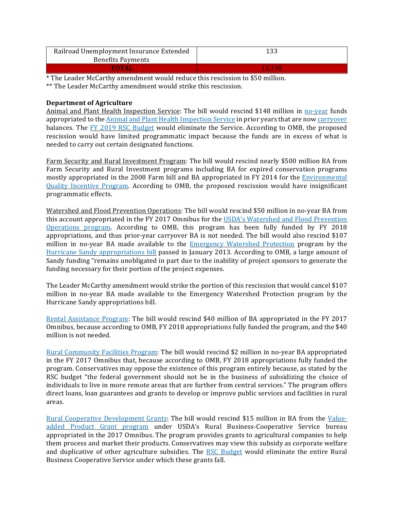| Railroad Unemployment Insurance Extended | 133    |
|------------------------------------------|--------|
| <b>Benefits Payments</b>                 |        |
| TOTAL                                    | 15.190 |

\* The Leader McCarthy amendment would reduce this rescission to \$50 million.

\*\* The Leader McCarthy amendment would strike this rescission.

# **Department of Agriculture**

Animal and Plant Health Inspection Service: The bill would rescind \$148 million in no-year funds appropriated to the **Animal and Plant Health Inspection Service** in prior years that are now carryover balances. The FY 2019 RSC Budget would eliminate the Service. According to OMB, the proposed rescission would have limited programmatic impact because the funds are in excess of what is needed to carry out certain designated functions.

Farm Security and Rural Investment Program: The bill would rescind nearly \$500 million BA from Farm Security and Rural Investment programs including BA for expired conservation programs mostly appropriated in the 2008 Farm bill and BA appropriated in FY 2014 for the **Environmental** Quality Incentive Program. According to OMB, the proposed rescission would have insignificant programmatic effects.

Watershed and Flood Prevention Operations: The bill would rescind \$50 million in no-year BA from this account appropriated in the FY 2017 Omnibus for the USDA's Watershed and Flood Prevention Operations program. According to OMB, this program has been fully funded by FY 2018 appropriations, and thus prior-year carryover BA is not needed. The bill would also rescind \$107 million in no-year BA made available to the Emergency Watershed Protection program by the Hurricane Sandy appropriations bill passed in January 2013. According to OMB, a large amount of Sandy funding "remains unobligated in part due to the inability of project sponsors to generate the funding necessary for their portion of the project expenses.

The Leader McCarthy amendment would strike the portion of this rescission that would cancel \$107 million in no-year BA made available to the Emergency Watershed Protection program by the Hurricane Sandy appropriations bill.

Rental Assistance Program: The bill would rescind \$40 million of BA appropriated in the FY 2017 Omnibus, because according to OMB, FY 2018 appropriations fully funded the program, and the \$40 million is not needed.

Rural Community Facilities Program: The bill would rescind \$2 million in no-year BA appropriated in the FY 2017 Omnibus that, because according to OMB, FY 2018 appropriations fully funded the program. Conservatives may oppose the existence of this program entirely because, as stated by the RSC budget "the federal government should not be in the business of subsidizing the choice of individuals to live in more remote areas that are further from central services." The program offers direct loans, loan guarantees and grants to develop or improve public services and facilities in rural areas.

Rural Cooperative Development Grants: The bill would rescind \$15 million in BA from the Valueadded Product Grant program under USDA's Rural Business-Cooperative Service bureau appropriated in the 2017 Omnibus. The program provides grants to agricultural companies to help them process and market their products. Conservatives may view this subsidy as corporate welfare and duplicative of other agriculture subsidies. The RSC Budget would eliminate the entire Rural Business Cooperative Service under which these grants fall.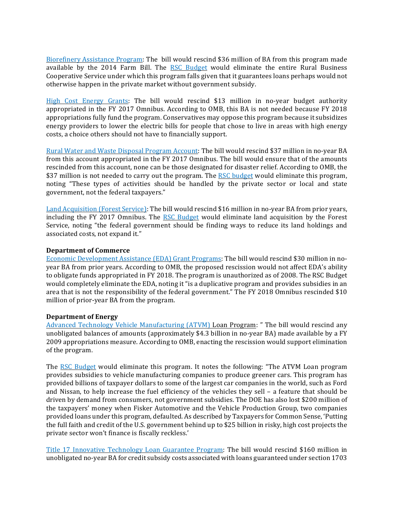Biorefinery Assistance Program: The bill would rescind \$36 million of BA from this program made available by the 2014 Farm Bill. The RSC Budget would eliminate the entire Rural Business Cooperative Service under which this program falls given that it guarantees loans perhaps would not otherwise happen in the private market without government subsidy.

High Cost Energy Grants: The bill would rescind \$13 million in no-year budget authority appropriated in the FY 2017 Omnibus. According to OMB, this BA is not needed because FY 2018 appropriations fully fund the program. Conservatives may oppose this program because it subsidizes energy providers to lower the electric bills for people that chose to live in areas with high energy costs, a choice others should not have to financially support.

Rural Water and Waste Disposal Program Account: The bill would rescind \$37 million in no-year BA from this account appropriated in the FY 2017 Omnibus. The bill would ensure that of the amounts rescinded from this account, none can be those designated for disaster relief. According to OMB, the \$37 million is not needed to carry out the program. The RSC budget would eliminate this program, noting "These types of activities should be handled by the private sector or local and state government, not the federal taxpayers."

Land Acquisition (Forest Service): The bill would rescind \$16 million in no-year BA from prior years, including the FY 2017 Omnibus. The RSC Budget would eliminate land acquisition by the Forest Service, noting "the federal government should be finding ways to reduce its land holdings and associated costs, not expand it."

## **Department of Commerce**

Economic Development Assistance (EDA) Grant Programs: The bill would rescind \$30 million in noyear BA from prior years. According to OMB, the proposed rescission would not affect EDA's ability to obligate funds appropriated in FY 2018. The program is unauthorized as of 2008. The RSC Budget would completely eliminate the EDA, noting it "is a duplicative program and provides subsidies in an area that is not the responsibility of the federal government." The FY 2018 Omnibus rescinded \$10 million of prior-year BA from the program.

## **Department of Energy**

Advanced Technology Vehicle Manufacturing (ATVM) Loan Program: " The bill would rescind any unobligated balances of amounts (approximately \$4.3 billion in no-year BA) made available by a FY 2009 appropriations measure. According to OMB, enacting the rescission would support elimination of the program.

The RSC Budget would eliminate this program. It notes the following: "The ATVM Loan program provides subsidies to vehicle manufacturing companies to produce greener cars. This program has provided billions of taxpayer dollars to some of the largest car companies in the world, such as Ford and Nissan, to help increase the fuel efficiency of the vehicles they sell – a feature that should be driven by demand from consumers, not government subsidies. The DOE has also lost \$200 million of the taxpayers' money when Fisker Automotive and the Vehicle Production Group, two companies provided loans under this program, defaulted. As described by Taxpayers for Common Sense, 'Putting the full faith and credit of the U.S. government behind up to \$25 billion in risky, high cost projects the private sector won't finance is fiscally reckless.'

Title 17 Innovative Technology Loan Guarantee Program: The bill would rescind \$160 million in unobligated no-year BA for credit subsidy costs associated with loans guaranteed under section 1703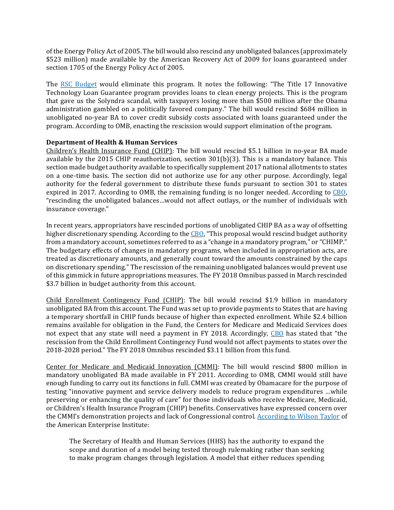of the Energy Policy Act of 2005. The bill would also rescind any unobligated balances (approximately \$523 million) made available by the American Recovery Act of 2009 for loans guaranteed under section 1705 of the Energy Policy Act of 2005.

The RSC Budget would eliminate this program. It notes the following: "The Title 17 Innovative Technology Loan Guarantee program provides loans to clean energy projects. This is the program that gave us the Solyndra scandal, with taxpayers losing more than \$500 million after the Obama administration gambled on a politically favored company." The bill would rescind \$684 million in unobligated no-year BA to cover credit subsidy costs associated with loans guaranteed under the program. According to OMB, enacting the rescission would support elimination of the program.

## **Department of Health & Human Services**

Children's Health Insurance Fund (CHIP): The bill would rescind \$5.1 billion in no-year BA made available by the 2015 CHIP reauthorization, section 301(b)(3). This is a mandatory balance. This section made budget authority available to specifically supplement 2017 national allotments to states on a one-time basis. The section did not authorize use for any other purpose. Accordingly, legal authority for the federal government to distribute these funds pursuant to section 301 to states expired in 2017. According to OMB, the remaining funding is no longer needed. According to CBO, "rescinding the unobligated balances…would not affect outlays, or the number of individuals with insurance coverage."

In recent years, appropriators have rescinded portions of unobligated CHIP BA as a way of offsetting higher discretionary spending. According to the CBO, "This proposal would rescind budget authority from a mandatory account, sometimes referred to as a "change in a mandatory program," or "CHIMP." The budgetary effects of changes in mandatory programs, when included in appropriation acts, are treated as discretionary amounts, and generally count toward the amounts constrained by the caps on discretionary spending." The rescission of the remaining unobligated balances would prevent use of this gimmick in future appropriations measures. The FY 2018 Omnibus passed in March rescinded \$3.7 billion in budget authority from this account.

Child Enrollment Contingency Fund (CHIP): The bill would rescind \$1.9 billion in mandatory unobligated BA from this account. The Fund was set up to provide payments to States that are having a temporary shortfall in CHIP funds because of higher than expected enrollment. While \$2.4 billion remains available for obligation in the Fund, the Centers for Medicare and Medicaid Services does not expect that any state will need a payment in FY 2018. Accordingly, CBO has stated that "the rescission from the Child Enrollment Contingency Fund would not affect payments to states over the 2018-2028 period." The FY 2018 Omnibus rescinded \$3.11 billion from this fund. 

Center for Medicare and Medicaid Innovation (CMMI): The bill would rescind \$800 million in mandatory unobligated BA made available in FY 2011. According to OMB, CMMI would still have enough funding to carry out its functions in full. CMMI was created by Obamacare for the purpose of testing "innovative payment and service delivery models to reduce program expenditures …while preserving or enhancing the quality of care" for those individuals who receive Medicare, Medicaid, or Children's Health Insurance Program (CHIP) benefits. Conservatives have expressed concern over the CMMI's demonstration projects and lack of Congressional control. According to Wilson Taylor of the American Enterprise Institute:

The Secretary of Health and Human Services (HHS) has the authority to expand the scope and duration of a model being tested through rulemaking rather than seeking to make program changes through legislation. A model that either reduces spending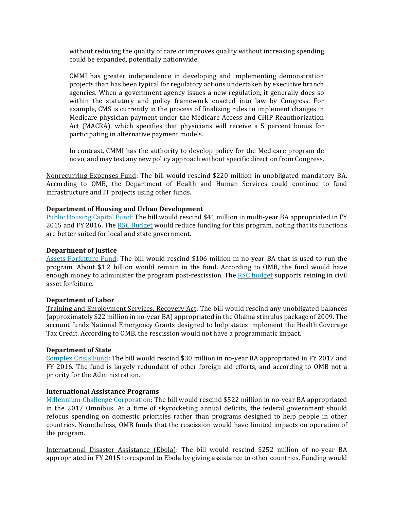without reducing the quality of care or improves quality without increasing spending could be expanded, potentially nationwide.

CMMI has greater independence in developing and implementing demonstration projects than has been typical for regulatory actions undertaken by executive branch agencies. When a government agency issues a new regulation, it generally does so within the statutory and policy framework enacted into law by Congress. For example, CMS is currently in the process of finalizing rules to implement changes in Medicare physician payment under the Medicare Access and CHIP Reauthorization Act (MACRA), which specifies that physicians will receive a 5 percent bonus for participating in alternative payment models.

In contrast, CMMI has the authority to develop policy for the Medicare program de novo, and may test any new policy approach without specific direction from Congress.

Nonrecurring Expenses Fund: The bill would rescind \$220 million in unobligated mandatory BA. According to OMB, the Department of Health and Human Services could continue to fund infrastructure and IT projects using other funds.

## **Department of Housing and Urban Development**

Public Housing Capital Fund: The bill would rescind \$41 million in multi-year BA appropriated in FY 2015 and FY 2016. The RSC Budget would reduce funding for this program, noting that its functions are better suited for local and state government.

#### **Department of Justice**

Assets Forfeiture Fund: The bill would rescind \$106 million in no-year BA that is used to run the program. About \$1.2 billion would remain in the fund. According to OMB, the fund would have enough money to administer the program post-rescission. The RSC budget supports reining in civil asset forfeiture.

#### **Department of Labor**

Training and Employment Services, Recovery Act: The bill would rescind any unobligated balances (approximately \$22 million in no-year BA) appropriated in the Obama stimulus package of 2009. The account funds National Emergency Grants designed to help states implement the Health Coverage Tax Credit. According to OMB, the rescission would not have a programmatic impact.

#### **Department of State**

Complex Crisis Fund: The bill would rescind \$30 million in no-year BA appropriated in FY 2017 and FY 2016. The fund is largely redundant of other foreign aid efforts, and according to OMB not a priority for the Administration.

## **International Assistance Programs**

Millennium Challenge Corporation: The bill would rescind \$522 million in no-year BA appropriated in the 2017 Omnibus. At a time of skyrocketing annual deficits, the federal government should refocus spending on domestic priorities rather than programs designed to help people in other countries. Nonetheless, OMB funds that the rescission would have limited impacts on operation of the program.

International Disaster Assistance (Ebola): The bill would rescind \$252 million of no-year BA appropriated in FY 2015 to respond to Ebola by giving assistance to other countries. Funding would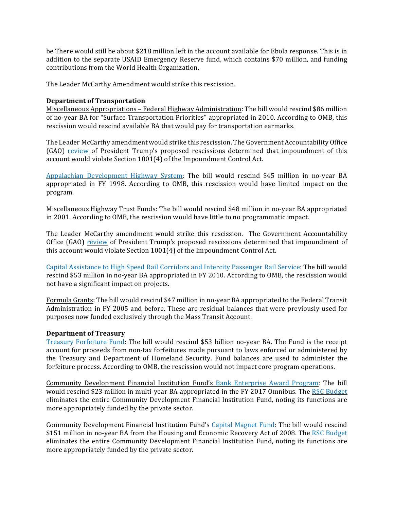be There would still be about \$218 million left in the account available for Ebola response. This is in addition to the separate USAID Emergency Reserve fund, which contains \$70 million, and funding contributions from the World Health Organization.

The Leader McCarthy Amendment would strike this rescission.

## **Department of Transportation**

Miscellaneous Appropriations – Federal Highway Administration: The bill would rescind \$86 million of no-year BA for "Surface Transportation Priorities" appropriated in 2010. According to OMB, this rescission would rescind available BA that would pay for transportation earmarks.

The Leader McCarthy amendment would strike this rescission. The Government Accountability Office (GAO) review of President Trump's proposed rescissions determined that impoundment of this account would violate Section 1001(4) of the Impoundment Control Act.

Appalachian Development Highway System: The bill would rescind \$45 million in no-year BA appropriated in FY 1998. According to OMB, this rescission would have limited impact on the program.

Miscellaneous Highway Trust Funds: The bill would rescind \$48 million in no-year BA appropriated in 2001. According to OMB, the rescission would have little to no programmatic impact.

The Leader McCarthy amendment would strike this rescission. The Government Accountability Office (GAO) review of President Trump's proposed rescissions determined that impoundment of this account would violate Section 1001(4) of the Impoundment Control Act.

Capital Assistance to High Speed Rail Corridors and Intercity Passenger Rail Service: The bill would rescind \$53 million in no-year BA appropriated in FY 2010. According to OMB, the rescission would not have a significant impact on projects.

Formula Grants: The bill would rescind \$47 million in no-year BA appropriated to the Federal Transit Administration in FY 2005 and before. These are residual balances that were previously used for purposes now funded exclusively through the Mass Transit Account.

#### **Department of Treasury**

Treasury Forfeiture Fund: The bill would rescind \$53 billion no-year BA. The Fund is the receipt account for proceeds from non-tax forfeitures made pursuant to laws enforced or administered by the Treasury and Department of Homeland Security. Fund balances are used to administer the forfeiture process. According to OMB, the rescission would not impact core program operations.

Community Development Financial Institution Fund's Bank Enterprise Award Program: The bill would rescind \$23 million in multi-year BA appropriated in the FY 2017 Omnibus. The RSC Budget eliminates the entire Community Development Financial Institution Fund, noting its functions are more appropriately funded by the private sector.

Community Development Financial Institution Fund's Capital Magnet Fund: The bill would rescind \$151 million in no-year BA from the Housing and Economic Recovery Act of 2008. The RSC Budget eliminates the entire Community Development Financial Institution Fund, noting its functions are more appropriately funded by the private sector.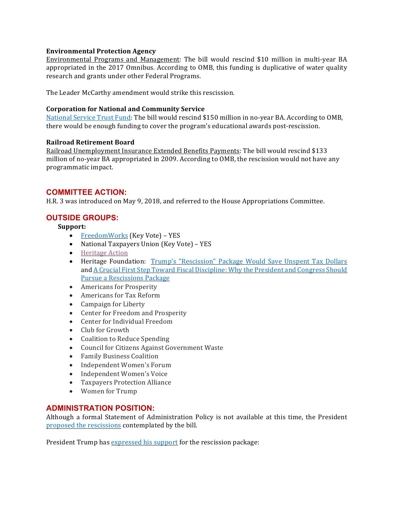## **Environmental Protection Agency**

Environmental Programs and Management: The bill would rescind \$10 million in multi-year BA appropriated in the 2017 Omnibus. According to OMB, this funding is duplicative of water quality research and grants under other Federal Programs.

The Leader McCarthy amendment would strike this rescission.

## **Corporation for National and Community Service**

National Service Trust Fund: The bill would rescind \$150 million in no-year BA. According to OMB, there would be enough funding to cover the program's educational awards post-rescission.

## **Railroad Retirement Board**

Railroad Unemployment Insurance Extended Benefits Payments: The bill would rescind \$133 million of no-year BA appropriated in 2009. According to OMB, the rescission would not have any programmatic impact.

## **COMMITTEE ACTION:**

H.R. 3 was introduced on May 9, 2018, and referred to the House Appropriations Committee.

# **OUTSIDE GROUPS:**

**Support:**

- FreedomWorks (Key Vote) YES
- National Taxpayers Union (Key Vote) YES
- Heritage Action
- Heritage Foundation: Trump's "Rescission" Package Would Save Unspent Tax Dollars and A Crucial First Step Toward Fiscal Discipline: Why the President and Congress Should Pursue a Rescissions Package
- Americans for Prosperity
- Americans for Tax Reform
- Campaign for Liberty
- Center for Freedom and Prosperity
- Center for Individual Freedom
- Club for Growth
- Coalition to Reduce Spending
- Council for Citizens Against Government Waste
- Family Business Coalition
- Independent Women's Forum
- Independent Women's Voice
- Taxpayers Protection Alliance
- Women for Trump

# **ADMINISTRATION POSITION:**

Although a formal Statement of Administration Policy is not available at this time, the President proposed the rescissions contemplated by the bill.

President Trump has expressed his support for the rescission package: